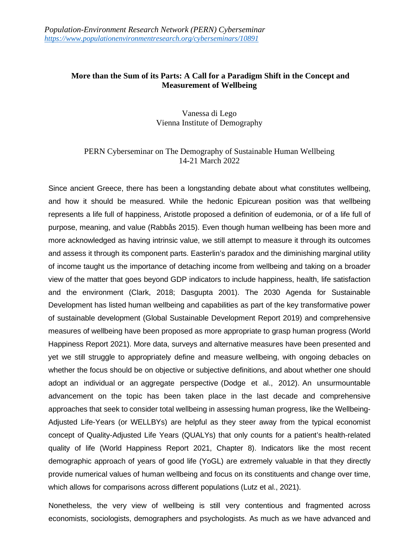## **More than the Sum of its Parts: A Call for a Paradigm Shift in the Concept and Measurement of Wellbeing**

Vanessa di Lego Vienna Institute of Demography

## PERN Cyberseminar on The Demography of Sustainable Human Wellbeing 14-21 March 2022

Since ancient Greece, there has been a longstanding debate about what constitutes wellbeing, and how it should be measured. While the hedonic Epicurean position was that wellbeing represents a life full of happiness, Aristotle proposed a definition of eudemonia, or of a life full of purpose, meaning, and value (Rabbås 2015). Even though human wellbeing has been more and more acknowledged as having intrinsic value, we still attempt to measure it through its outcomes and assess it through its component parts. Easterlin's paradox and the diminishing marginal utility of income taught us the importance of detaching income from wellbeing and taking on a broader view of the matter that goes beyond GDP indicators to include happiness, health, life satisfaction and the environment (Clark, 2018; Dasgupta 2001). The 2030 Agenda for Sustainable Development has listed human wellbeing and capabilities as part of the key transformative power of sustainable development (Global Sustainable Development Report 2019) and comprehensive measures of wellbeing have been proposed as more appropriate to grasp human progress (World Happiness Report 2021). More data, surveys and alternative measures have been presented and yet we still struggle to appropriately define and measure wellbeing, with ongoing debacles on whether the focus should be on objective or subjective definitions, and about whether one should adopt an individual or an aggregate perspective (Dodge et al., 2012). An unsurmountable advancement on the topic has been taken place in the last decade and comprehensive approaches that seek to consider total wellbeing in assessing human progress, like the Wellbeing-Adjusted Life-Years (or WELLBYs) are helpful as they steer away from the typical economist concept of Quality-Adjusted Life Years (QUALYs) that only counts for a patient's health-related quality of life (World Happiness Report 2021, Chapter 8). Indicators like the most recent demographic approach of years of good life (YoGL) are extremely valuable in that they directly provide numerical values of human wellbeing and focus on its constituents and change over time, which allows for comparisons across different populations (Lutz et al., 2021).

Nonetheless, the very view of wellbeing is still very contentious and fragmented across economists, sociologists, demographers and psychologists. As much as we have advanced and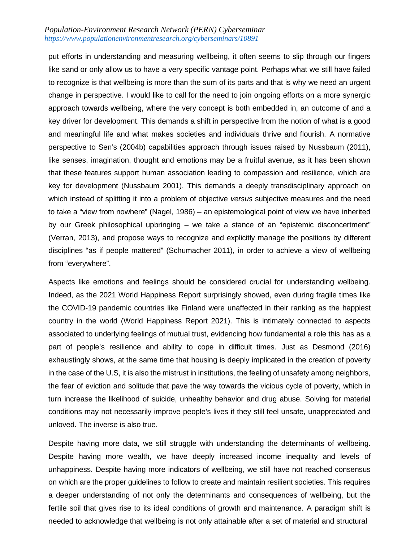## *Population-Environment Research Network (PERN) Cyberseminar <https://www.populationenvironmentresearch.org/cyberseminars/10891>*

put efforts in understanding and measuring wellbeing, it often seems to slip through our fingers like sand or only allow us to have a very specific vantage point. Perhaps what we still have failed to recognize is that wellbeing is more than the sum of its parts and that is why we need an urgent change in perspective. I would like to call for the need to join ongoing efforts on a more synergic approach towards wellbeing, where the very concept is both embedded in, an outcome of and a key driver for development. This demands a shift in perspective from the notion of what is a good and meaningful life and what makes societies and individuals thrive and flourish. A normative perspective to Sen's (2004b) capabilities approach through issues raised by Nussbaum (2011), like senses, imagination, thought and emotions may be a fruitful avenue, as it has been shown that these features support human association leading to compassion and resilience, which are key for development (Nussbaum 2001). This demands a deeply transdisciplinary approach on which instead of splitting it into a problem of objective *versus* subjective measures and the need to take a "view from nowhere" (Nagel, 1986) – an epistemological point of view we have inherited by our Greek philosophical upbringing – we take a stance of an "epistemic disconcertment" (Verran, 2013), and propose ways to recognize and explicitly manage the positions by different disciplines "as if people mattered" (Schumacher 2011), in order to achieve a view of wellbeing from "everywhere".

Aspects like emotions and feelings should be considered crucial for understanding wellbeing. Indeed, as the 2021 World Happiness Report surprisingly showed, even during fragile times like the COVID-19 pandemic countries like Finland were unaffected in their ranking as the happiest country in the world (World Happiness Report 2021). This is intimately connected to aspects associated to underlying feelings of mutual trust, evidencing how fundamental a role this has as a part of people's resilience and ability to cope in difficult times. Just as Desmond (2016) exhaustingly shows, at the same time that housing is deeply implicated in the creation of poverty in the case of the U.S, it is also the mistrust in institutions, the feeling of unsafety among neighbors, the fear of eviction and solitude that pave the way towards the vicious cycle of poverty, which in turn increase the likelihood of suicide, unhealthy behavior and drug abuse. Solving for material conditions may not necessarily improve people's lives if they still feel unsafe, unappreciated and unloved. The inverse is also true.

Despite having more data, we still struggle with understanding the determinants of wellbeing. Despite having more wealth, we have deeply increased income inequality and levels of unhappiness. Despite having more indicators of wellbeing, we still have not reached consensus on which are the proper guidelines to follow to create and maintain resilient societies. This requires a deeper understanding of not only the determinants and consequences of wellbeing, but the fertile soil that gives rise to its ideal conditions of growth and maintenance. A paradigm shift is needed to acknowledge that wellbeing is not only attainable after a set of material and structural